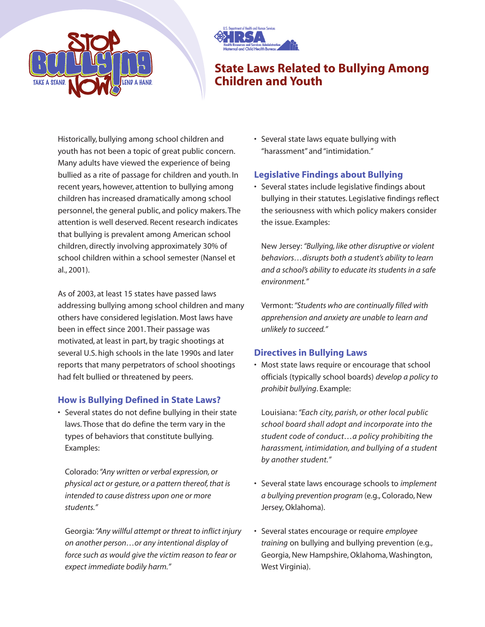



# **State Laws Related to Bullying Among Children and Youth**

Historically, bullying among school children and youth has not been a topic of great public concern. Many adults have viewed the experience of being bullied as a rite of passage for children and youth. In recent years, however, attention to bullying among children has increased dramatically among school personnel, the general public, and policy makers. The attention is well deserved. Recent research indicates that bullying is prevalent among American school children, directly involving approximately 30% of school children within a school semester (Nansel et al., 2001).

As of 2003, at least 15 states have passed laws addressing bullying among school children and many others have considered legislation. Most laws have been in effect since 2001. Their passage was motivated, at least in part, by tragic shootings at several U.S. high schools in the late 1990s and later reports that many perpetrators of school shootings had felt bullied or threatened by peers.

## **How is Bullying Defined in State Laws?**

• Several states do not define bullying in their state laws. Those that do define the term vary in the types of behaviors that constitute bullying. Examples:

Colorado:*"Any written or verbal expression, or physical act or gesture, or a pattern thereof, that is intended to cause distress upon one or more students."*

Georgia:*"Any willful attempt or threat to inflict injury on another person…or any intentional display of force such as would give the victim reason to fear or expect immediate bodily harm."*

• Several state laws equate bullying with "harassment" and "intimidation."

# **Legislative Findings about Bullying**

• Several states include legislative findings about bullying in their statutes. Legislative findings reflect the seriousness with which policy makers consider the issue. Examples:

New Jersey:*"Bullying, like other disruptive or violent behaviors…disrupts both a student's ability to learn and a school's ability to educate its students in a safe environment."*

Vermont:*"Students who are continually filled with apprehension and anxiety are unable to learn and unlikely to succeed."*

## **Directives in Bullying Laws**

• Most state laws require or encourage that school officials (typically school boards) *develop a policy to prohibit bullying*. Example:

Louisiana:*"Each city, parish, or other local public school board shall adopt and incorporate into the student code of conduct…a policy prohibiting the harassment, intimidation, and bullying of a student by another student."*

- Several state laws encourage schools to *implement a bullying prevention program* (e.g., Colorado, New Jersey, Oklahoma).
- Several states encourage or require *employee training* on bullying and bullying prevention (e.g., Georgia, New Hampshire, Oklahoma, Washington, West Virginia).